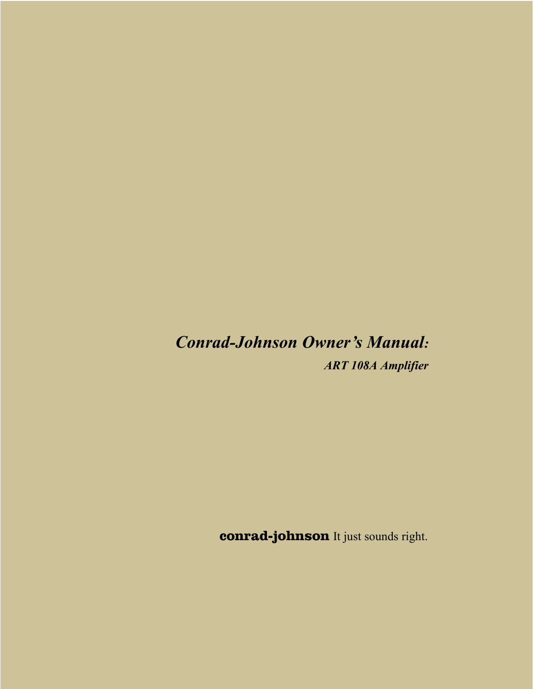# *Conrad-Johnson Owner's Manual:*

*ART 108A Amplifier* 

**conrad-johnson** It just sounds right.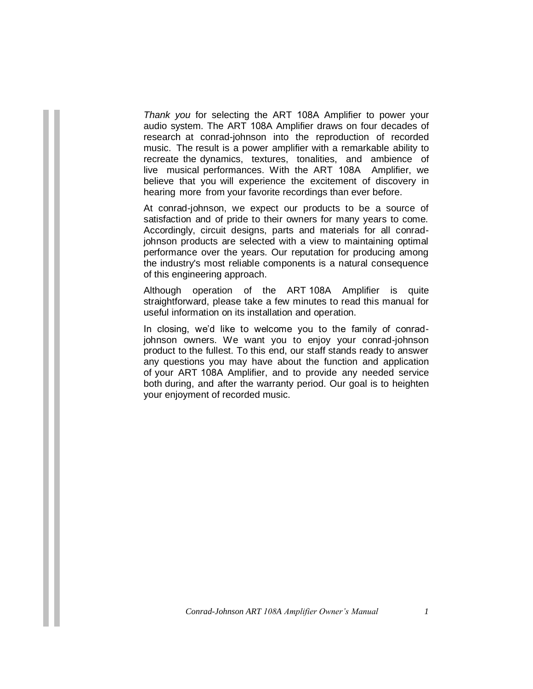*Thank you* for selecting the ART 108A Amplifier to power your audio system. The ART 108A Amplifier draws on four decades of research at conrad-johnson into the reproduction of recorded music. The result is a power amplifier with a remarkable ability to recreate the dynamics, textures, tonalities, and ambience of live musical performances. With the ART 108A Amplifier, we believe that you will experience the excitement of discovery in hearing more from your favorite recordings than ever before.

At conrad-johnson, we expect our products to be a source of satisfaction and of pride to their owners for many years to come. Accordingly, circuit designs, parts and materials for all conradjohnson products are selected with a view to maintaining optimal performance over the years. Our reputation for producing among the industry's most reliable components is a natural consequence of this engineering approach.

Although operation of the ART 108A Amplifier is quite straightforward, please take a few minutes to read this manual for useful information on its installation and operation.

In closing, we'd like to welcome you to the family of conradjohnson owners. We want you to enjoy your conrad-johnson product to the fullest. To this end, our staff stands ready to answer any questions you may have about the function and application of your ART 108A Amplifier, and to provide any needed service both during, and after the warranty period. Our goal is to heighten your enjoyment of recorded music.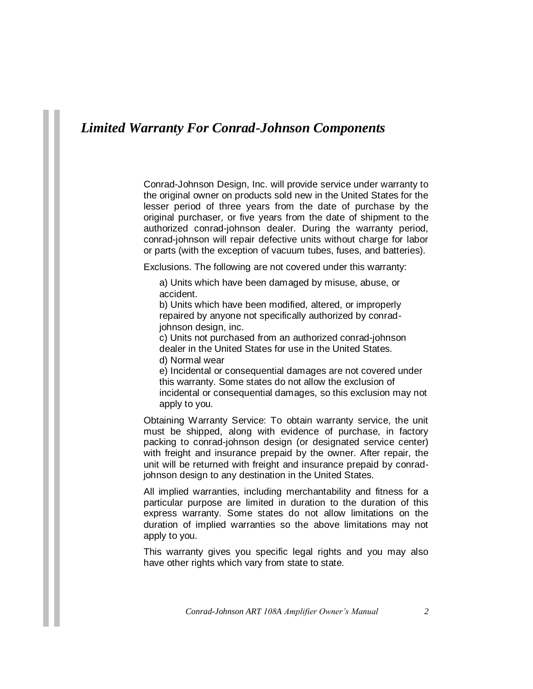# *Limited Warranty For Conrad-Johnson Components*

Conrad-Johnson Design, Inc. will provide service under warranty to the original owner on products sold new in the United States for the lesser period of three years from the date of purchase by the original purchaser, or five years from the date of shipment to the authorized conrad-johnson dealer. During the warranty period, conrad-johnson will repair defective units without charge for labor or parts (with the exception of vacuum tubes, fuses, and batteries).

Exclusions. The following are not covered under this warranty:

a) Units which have been damaged by misuse, abuse, or accident.

b) Units which have been modified, altered, or improperly repaired by anyone not specifically authorized by conradjohnson design, inc.

c) Units not purchased from an authorized conrad-johnson dealer in the United States for use in the United States.

d) Normal wear

e) Incidental or consequential damages are not covered under this warranty. Some states do not allow the exclusion of incidental or consequential damages, so this exclusion may not apply to you.

Obtaining Warranty Service: To obtain warranty service, the unit must be shipped, along with evidence of purchase, in factory packing to conrad-johnson design (or designated service center) with freight and insurance prepaid by the owner. After repair, the unit will be returned with freight and insurance prepaid by conradjohnson design to any destination in the United States.

All implied warranties, including merchantability and fitness for a particular purpose are limited in duration to the duration of this express warranty. Some states do not allow limitations on the duration of implied warranties so the above limitations may not apply to you.

This warranty gives you specific legal rights and you may also have other rights which vary from state to state.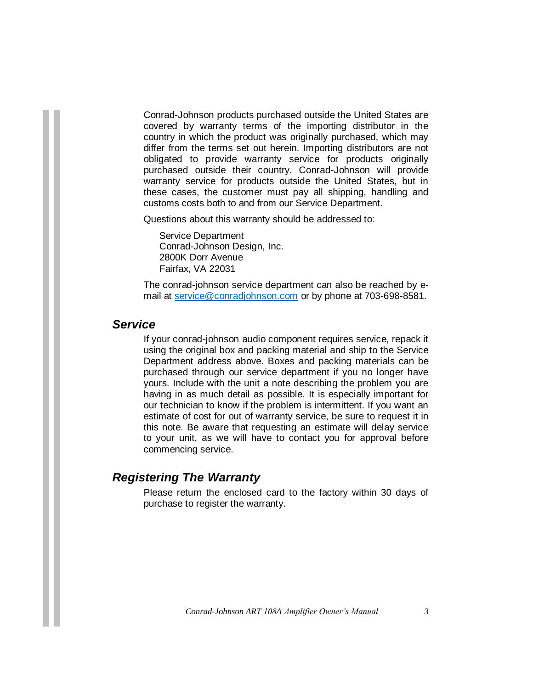Conrad-Johnson products purchased outside the United States are covered by warranty terms of the importing distributor in the country in which the product was originally purchased, which may differ from the terms set out herein. Importing distributors are not obligated to provide warranty service for products originally purchased outside their country. Conrad-Johnson will provide warranty service for products outside the United States, but in these cases, the customer must pay all shipping, handling and customs costs both to and from our Service Department.

Questions about this warranty should be addressed to:

Service Department Conrad-Johnson Design, Inc. 2800K Dorr Avenue Fairfax, VA 22031

The conrad-johnson service department can also be reached by email at [service@conradjohnson.com](mailto:service@conradjohnson.com) or by phone at 703-698-8581.

#### *Service*

If your conrad-johnson audio component requires service, repack it using the original box and packing material and ship to the Service Department address above. Boxes and packing materials can be purchased through our service department if you no longer have yours. Include with the unit a note describing the problem you are having in as much detail as possible. It is especially important for our technician to know if the problem is intermittent. If you want an estimate of cost for out of warranty service, be sure to request it in this note. Be aware that requesting an estimate will delay service to your unit, as we will have to contact you for approval before commencing service.

#### *Registering The Warranty*

Please return the enclosed card to the factory within 30 days of purchase to register the warranty.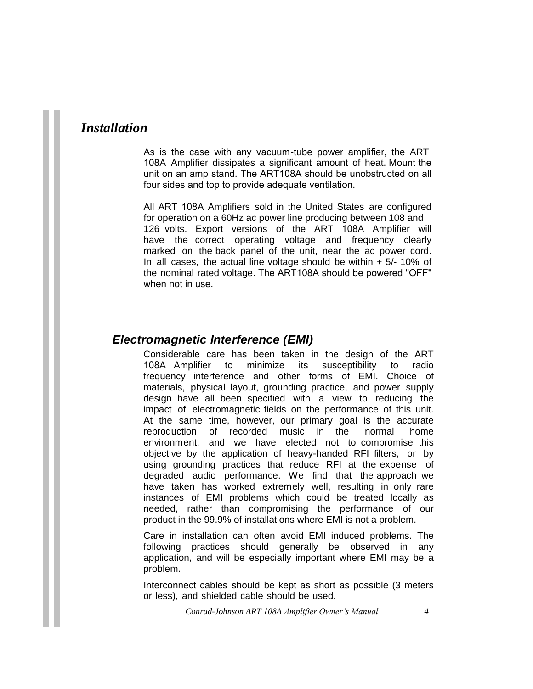# *Installation*

As is the case with any vacuum-tube power amplifier, the ART 108A Amplifier dissipates a significant amount of heat. Mount the unit on an amp stand. The ART108A should be unobstructed on all four sides and top to provide adequate ventilation.

All ART 108A Amplifiers sold in the United States are configured for operation on a 60Hz ac power line producing between 108 and 126 volts. Export versions of the ART 108A Amplifier will have the correct operating voltage and frequency clearly marked on the back panel of the unit, near the ac power cord. In all cases, the actual line voltage should be within  $+5/10\%$  of the nominal rated voltage. The ART108A should be powered "OFF" when not in use.

## *Electromagnetic Interference (EMI)*

Considerable care has been taken in the design of the ART 108A Amplifier to minimize its susceptibility to radio frequency interference and other forms of EMI. Choice of materials, physical layout, grounding practice, and power supply design have all been specified with a view to reducing the impact of electromagnetic fields on the performance of this unit. At the same time, however, our primary goal is the accurate reproduction of recorded music in the normal home environment, and we have elected not to compromise this objective by the application of heavy-handed RFI filters, or by using grounding practices that reduce RFI at the expense of degraded audio performance. We find that the approach we have taken has worked extremely well, resulting in only rare instances of EMI problems which could be treated locally as needed, rather than compromising the performance of our product in the 99.9% of installations where EMI is not a problem.

Care in installation can often avoid EMI induced problems. The following practices should generally be observed in any application, and will be especially important where EMI may be a problem.

Interconnect cables should be kept as short as possible (3 meters or less), and shielded cable should be used.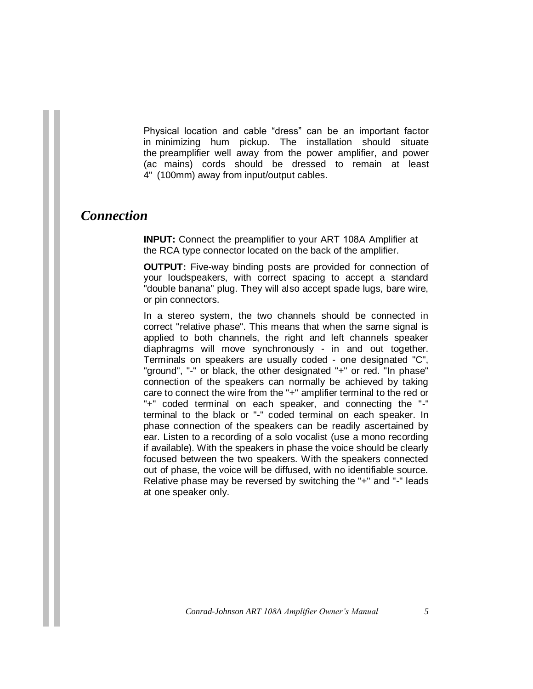Physical location and cable "dress" can be an important factor in minimizing hum pickup. The installation should situate the preamplifier well away from the power amplifier, and power (ac mains) cords should be dressed to remain at least 4" (100mm) away from input/output cables.

## *Connection*

**INPUT:** Connect the preamplifier to your ART 108A Amplifier at the RCA type connector located on the back of the amplifier.

**OUTPUT:** Five-way binding posts are provided for connection of your loudspeakers, with correct spacing to accept a standard "double banana" plug. They will also accept spade lugs, bare wire, or pin connectors.

In a stereo system, the two channels should be connected in correct "relative phase". This means that when the same signal is applied to both channels, the right and left channels speaker diaphragms will move synchronously - in and out together. Terminals on speakers are usually coded - one designated "C", "ground", "-" or black, the other designated "+" or red. "In phase" connection of the speakers can normally be achieved by taking care to connect the wire from the "+" amplifier terminal to the red or "+" coded terminal on each speaker, and connecting the "-" terminal to the black or "-" coded terminal on each speaker. In phase connection of the speakers can be readily ascertained by ear. Listen to a recording of a solo vocalist (use a mono recording if available). With the speakers in phase the voice should be clearly focused between the two speakers. With the speakers connected out of phase, the voice will be diffused, with no identifiable source. Relative phase may be reversed by switching the "+" and "-" leads at one speaker only.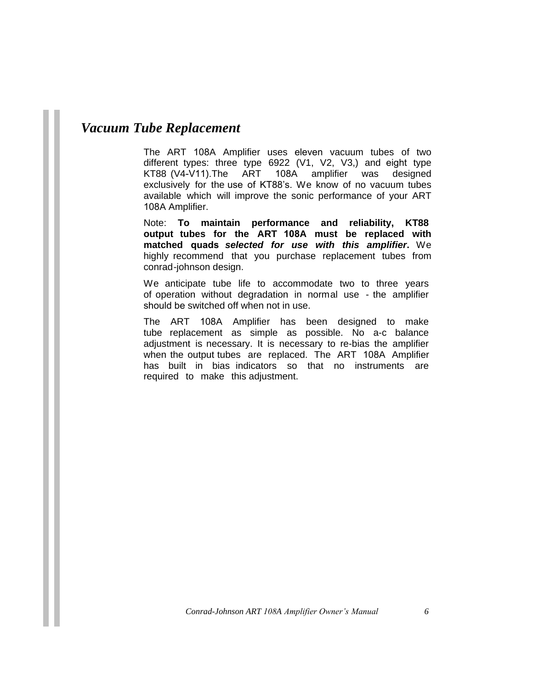# *Vacuum Tube Replacement*

The ART 108A Amplifier uses eleven vacuum tubes of two different types: three type 6922 (V1, V2, V3,) and eight type<br>KT88 (V4-V11).The ART 108A amplifier was designed 108A amplifier was designed exclusively for the use of KT88's. We know of no vacuum tubes available which will improve the sonic performance of your ART 108A Amplifier.

Note: **To maintain performance and reliability, KT88 output tubes for the ART 108A must be replaced with matched quads** *selected for use with this amplifier***.** We highly recommend that you purchase replacement tubes from conrad-johnson design.

We anticipate tube life to accommodate two to three years of operation without degradation in normal use - the amplifier should be switched off when not in use.

The ART 108A Amplifier has been designed to make tube replacement as simple as possible. No a-c balance adjustment is necessary. It is necessary to re-bias the amplifier when the output tubes are replaced. The ART 108A Amplifier has built in bias indicators so that no instruments are required to make this adjustment.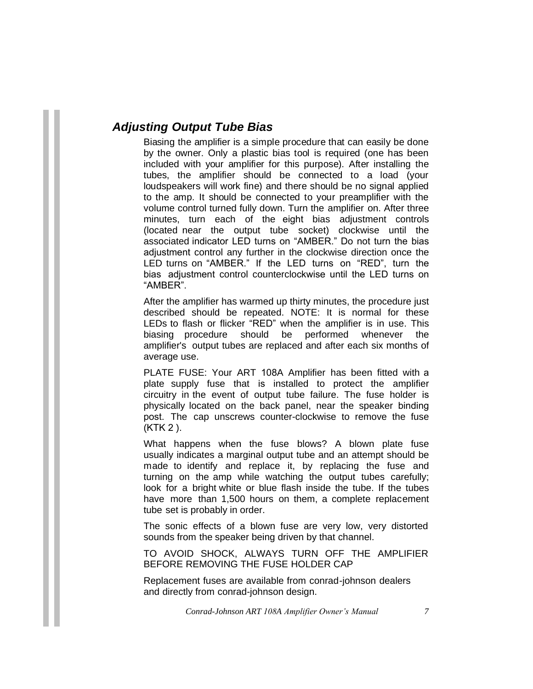## *Adjusting Output Tube Bias*

Biasing the amplifier is a simple procedure that can easily be done by the owner. Only a plastic bias tool is required (one has been included with your amplifier for this purpose). After installing the tubes, the amplifier should be connected to a load (your loudspeakers will work fine) and there should be no signal applied to the amp. It should be connected to your preamplifier with the volume control turned fully down. Turn the amplifier on. After three minutes, turn each of the eight bias adjustment controls (located near the output tube socket) clockwise until the associated indicator LED turns on "AMBER." Do not turn the bias adjustment control any further in the clockwise direction once the LED turns on "AMBER." If the LED turns on "RED", turn the bias adjustment control counterclockwise until the LED turns on "AMBER".

After the amplifier has warmed up thirty minutes, the procedure just described should be repeated. NOTE: It is normal for these LEDs to flash or flicker "RED" when the amplifier is in use. This biasing procedure should be performed whenever the amplifier's output tubes are replaced and after each six months of average use.

PLATE FUSE: Your ART 108A Amplifier has been fitted with a plate supply fuse that is installed to protect the amplifier circuitry in the event of output tube failure. The fuse holder is physically located on the back panel, near the speaker binding post. The cap unscrews counter-clockwise to remove the fuse (KTK 2 ).

What happens when the fuse blows? A blown plate fuse usually indicates a marginal output tube and an attempt should be made to identify and replace it, by replacing the fuse and turning on the amp while watching the output tubes carefully; look for a bright white or blue flash inside the tube. If the tubes have more than 1,500 hours on them, a complete replacement tube set is probably in order.

The sonic effects of a blown fuse are very low, very distorted sounds from the speaker being driven by that channel.

TO AVOID SHOCK, ALWAYS TURN OFF THE AMPLIFIER BEFORE REMOVING THE FUSE HOLDER CAP

Replacement fuses are available from conrad-johnson dealers and directly from conrad-johnson design.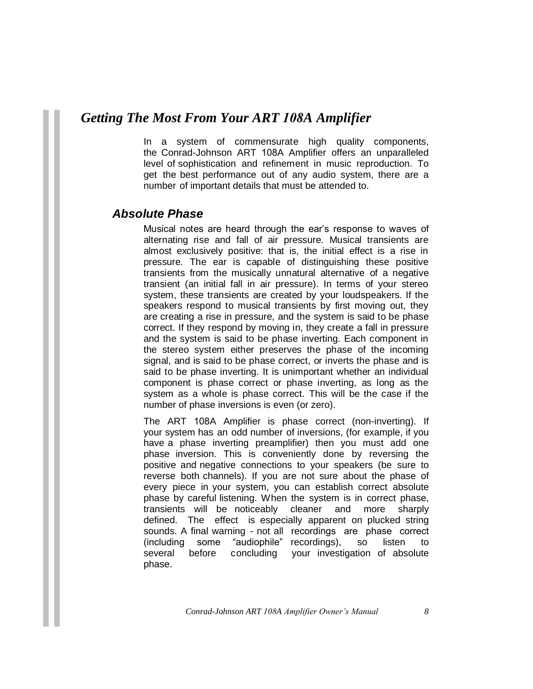## *Getting The Most From Your ART 108A Amplifier*

In a system of commensurate high quality components, the Conrad-Johnson ART 108A Amplifier offers an unparalleled level of sophistication and refinement in music reproduction. To get the best performance out of any audio system, there are a number of important details that must be attended to.

## *Absolute Phase*

Musical notes are heard through the ear's response to waves of alternating rise and fall of air pressure. Musical transients are almost exclusively positive: that is, the initial effect is a rise in pressure. The ear is capable of distinguishing these positive transients from the musically unnatural alternative of a negative transient (an initial fall in air pressure). In terms of your stereo system, these transients are created by your loudspeakers. If the speakers respond to musical transients by first moving out, they are creating a rise in pressure, and the system is said to be phase correct. If they respond by moving in, they create a fall in pressure and the system is said to be phase inverting. Each component in the stereo system either preserves the phase of the incoming signal, and is said to be phase correct, or inverts the phase and is said to be phase inverting. It is unimportant whether an individual component is phase correct or phase inverting, as long as the system as a whole is phase correct. This will be the case if the number of phase inversions is even (or zero).

The ART 108A Amplifier is phase correct (non-inverting). If your system has an odd number of inversions, (for example, if you have a phase inverting preamplifier) then you must add one phase inversion. This is conveniently done by reversing the positive and negative connections to your speakers (be sure to reverse both channels). If you are not sure about the phase of every piece in your system, you can establish correct absolute phase by careful listening. When the system is in correct phase, transients will be noticeably cleaner and more sharply defined. The effect is especially apparent on plucked string sounds. A final warning - not all recordings are phase correct (including some "audiophile" recordings), so listen to several before concluding your investigation of absolute phase.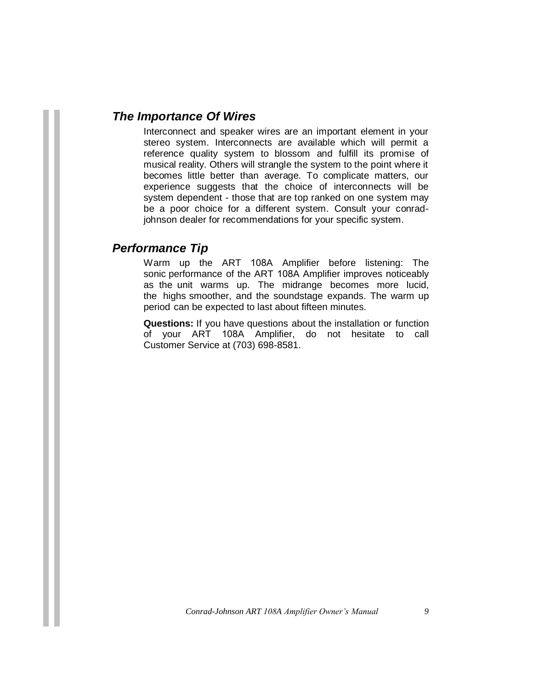#### *The Importance Of Wires*

Interconnect and speaker wires are an important element in your stereo system. Interconnects are available which will permit a reference quality system to blossom and fulfill its promise of musical reality. Others will strangle the system to the point where it becomes little better than average. To complicate matters, our experience suggests that the choice of interconnects will be system dependent - those that are top ranked on one system may be a poor choice for a different system. Consult your conradjohnson dealer for recommendations for your specific system.

#### *Performance Tip*

Warm up the ART 108A Amplifier before listening: The sonic performance of the ART 108A Amplifier improves noticeably as the unit warms up. The midrange becomes more lucid, the highs smoother, and the soundstage expands. The warm up period can be expected to last about fifteen minutes.

**Questions:** If you have questions about the installation or function of your ART 108A Amplifier, do not hesitate to call Customer Service at (703) 698-8581.